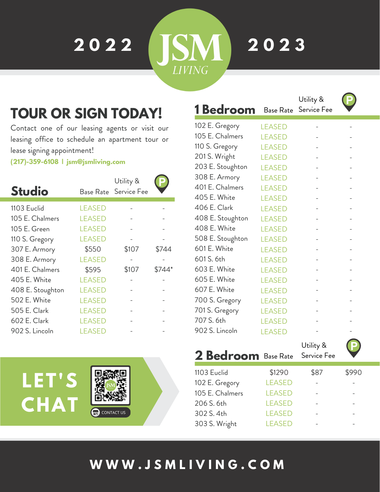**2 0 2 2**

**2 0 2 3**

**SM** 

**LIVING** 

## **TOUR OR SIGN TODAY!**

Contact one of our leasing agents or visit our leasing office to schedule an apartment tour or lease signing appointment!

**(217)-359-6108 | jsm@jsmliving.com**

| <b>Studio</b>    | Base Rate     | Utility &<br>Service Fee |        |
|------------------|---------------|--------------------------|--------|
| 1103 Euclid      | <b>LEASED</b> |                          |        |
| 105 E. Chalmers  | <b>LEASED</b> |                          |        |
| 105 E. Green     | <b>LEASED</b> |                          |        |
| 110 S. Gregory   | <b>LEASED</b> |                          |        |
| 307 E. Armory    | \$550         | \$107                    | \$744  |
| 308 E. Armory    | <b>LEASED</b> |                          |        |
| 401 E. Chalmers  | \$595         | \$107                    | \$744* |
| 405 E. White     | <b>LEASED</b> |                          |        |
| 408 E. Stoughton | <b>LEASED</b> |                          |        |
| 502 E. White     | <b>LEASED</b> |                          |        |
| 505 E. Clark     | <b>LEASED</b> |                          |        |
| 602 E. Clark     | <b>LEASED</b> |                          |        |
| 902 S. Lincoln   | <b>LEASED</b> |                          |        |



| <b>1</b> Bedroom | <b>Base Rate</b> | Utility &<br>Service Fee | P |
|------------------|------------------|--------------------------|---|
| 102 E. Gregory   | <b>LEASED</b>    |                          |   |
| 105 E. Chalmers  | <b>LEASED</b>    |                          |   |
| 110 S. Gregory   | <b>LEASED</b>    |                          |   |
| 201 S. Wright    | <b>LEASED</b>    |                          |   |
| 203 E. Stoughton | <b>LEASED</b>    |                          |   |
| 308 E. Armory    | <b>LEASED</b>    |                          |   |
| 401 E. Chalmers  | <b>LEASED</b>    |                          |   |
| 405 E. White     | <b>LEASED</b>    |                          |   |
| 406 E. Clark     | <b>LEASED</b>    |                          |   |
| 408 E. Stoughton | <b>LEASED</b>    |                          |   |
| 408 E. White     | <b>LEASED</b>    |                          |   |
| 508 E. Stoughton | <b>LEASED</b>    |                          |   |
| 601 E. White     | <b>LEASED</b>    |                          |   |
| 601 S. 6th       | <b>LEASED</b>    |                          |   |
| 603 E. White     | <b>LEASED</b>    |                          |   |
| 605 E. White     | <b>LEASED</b>    |                          |   |
| 607 E. White     | <b>LEASED</b>    |                          |   |
| 700 S. Gregory   | <b>LEASED</b>    |                          |   |
| 701 S. Gregory   | <b>LEASED</b>    |                          |   |
| 707 S. 6th       | <b>LEASED</b>    |                          |   |
| 902 S. Lincoln   | <b>LEASED</b>    |                          |   |

**2 Bedroom** Base Rate Utility & Service Fee

| 1103 Euclid     | \$1290        | \$87 | \$990 |
|-----------------|---------------|------|-------|
| 102 E. Gregory  | <b>LEASED</b> |      |       |
| 105 E. Chalmers | <b>LEASED</b> |      |       |
| 206 S. 6th      | <b>LEASED</b> |      |       |
| 302 S. 4th      | <b>LEASED</b> |      |       |
| 303 S. Wright   | <b>LEASED</b> |      |       |
|                 |               |      |       |

### **W W W . J S M L I V I N G . C O M**